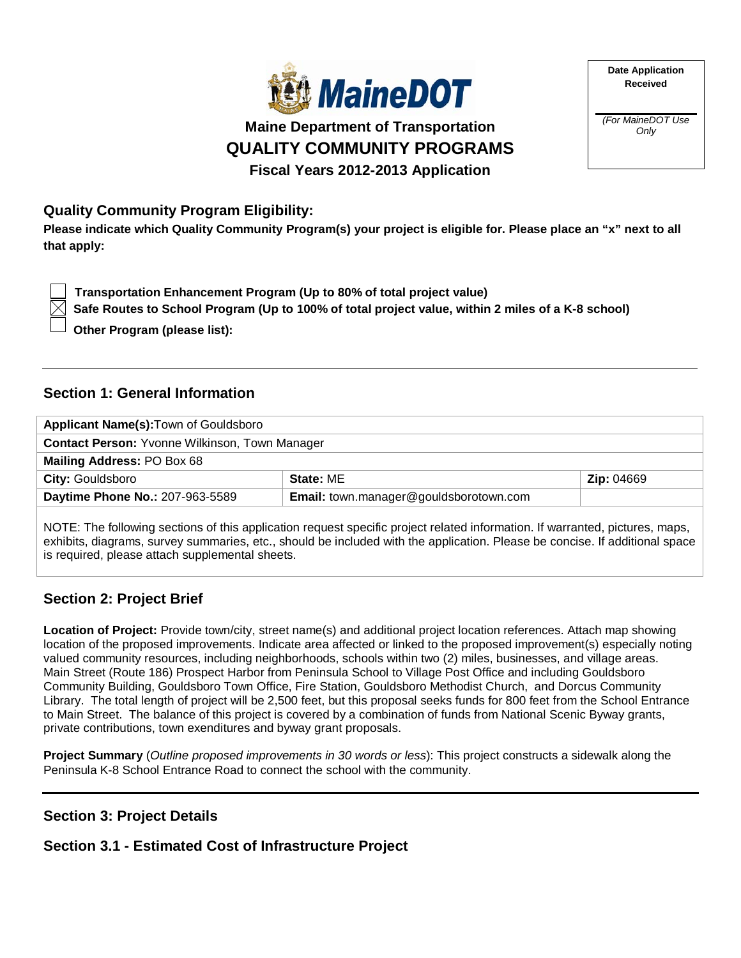

**Maine Department of Transportation QUALITY COMMUNITY PROGRAMS Fiscal Years 2012-2013 Application**

## **Quality Community Program Eligibility:**

**Please indicate which Quality Community Program(s) your project is eligible for. Please place an "x" next to all that apply:**

 **Transportation Enhancement Program (Up to 80% of total project value)**

 **Safe Routes to School Program (Up to 100% of total project value, within 2 miles of a K-8 school)**

 **Other Program (please list):** 

## **Section 1: General Information**

| Applicant Name(s): Town of Gouldsboro                 |                                        |                   |
|-------------------------------------------------------|----------------------------------------|-------------------|
| <b>Contact Person: Yvonne Wilkinson, Town Manager</b> |                                        |                   |
| Mailing Address: PO Box 68                            |                                        |                   |
| <b>City: Gouldsboro</b>                               | State: ME                              | <b>Zip: 04669</b> |
| Daytime Phone No.: 207-963-5589                       | Email: town.manager@gouldsborotown.com |                   |
|                                                       |                                        |                   |

NOTE: The following sections of this application request specific project related information. If warranted, pictures, maps, exhibits, diagrams, survey summaries, etc., should be included with the application. Please be concise. If additional space is required, please attach supplemental sheets.

# **Section 2: Project Brief**

**Location of Project:** Provide town/city, street name(s) and additional project location references. Attach map showing location of the proposed improvements. Indicate area affected or linked to the proposed improvement(s) especially noting valued community resources, including neighborhoods, schools within two (2) miles, businesses, and village areas. Main Street (Route 186) Prospect Harbor from Peninsula School to Village Post Office and including Gouldsboro Community Building, Gouldsboro Town Office, Fire Station, Gouldsboro Methodist Church, and Dorcus Community Library. The total length of project will be 2,500 feet, but this proposal seeks funds for 800 feet from the School Entrance to Main Street. The balance of this project is covered by a combination of funds from National Scenic Byway grants, private contributions, town exenditures and byway grant proposals.

**Project Summary** (*Outline proposed improvements in 30 words or less*): This project constructs a sidewalk along the Peninsula K-8 School Entrance Road to connect the school with the community.

## **Section 3: Project Details**

## **Section 3.1 - Estimated Cost of Infrastructure Project**

*(For MaineDOT Use Only*

**Date Application Received**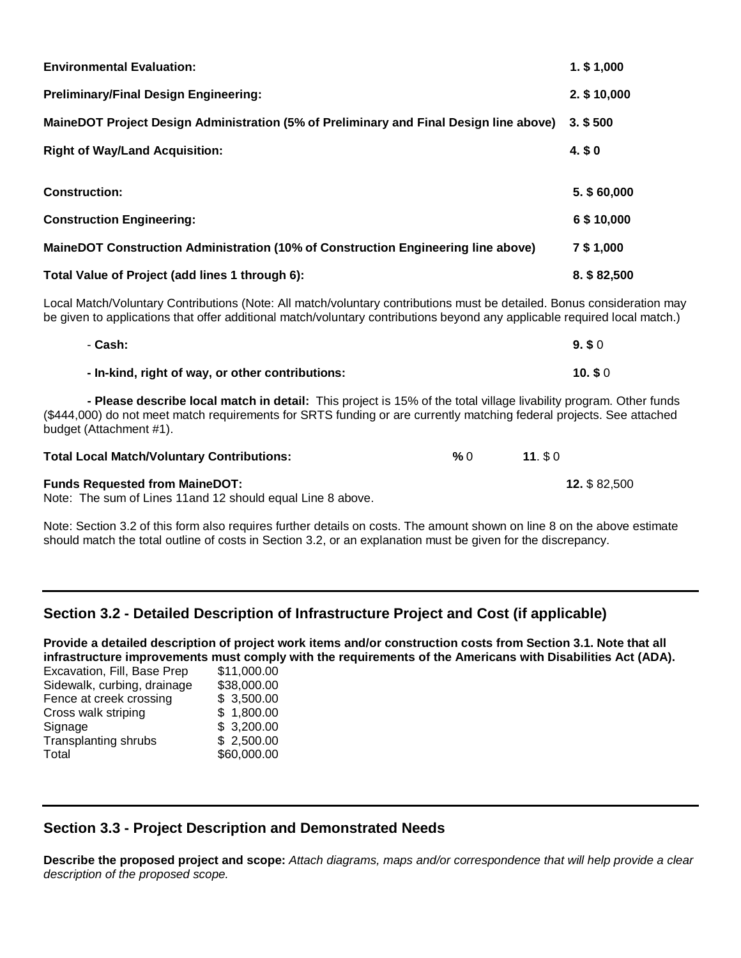| <b>Environmental Evaluation:</b>                                                       | $1.$ \$ 1,000 |
|----------------------------------------------------------------------------------------|---------------|
| <b>Preliminary/Final Design Engineering:</b>                                           | 2. \$10,000   |
| MaineDOT Project Design Administration (5% of Preliminary and Final Design line above) | $3.$ \$ 500   |
| <b>Right of Way/Land Acquisition:</b>                                                  | 4. \$0        |
|                                                                                        |               |
| <b>Construction:</b>                                                                   | 5. \$60,000   |
| <b>Construction Engineering:</b>                                                       | 6 \$10,000    |
| MaineDOT Construction Administration (10% of Construction Engineering line above)      | 7 \$ 1,000    |
| Total Value of Project (add lines 1 through 6):                                        | 8. \$82,500   |

Local Match/Voluntary Contributions (Note: All match/voluntary contributions must be detailed. Bonus consideration may be given to applications that offer additional match/voluntary contributions beyond any applicable required local match.)

| - Cash:                                                                                              | 9.50  |
|------------------------------------------------------------------------------------------------------|-------|
| - In-kind, right of way, or other contributions:                                                     | 10.50 |
| . من المساحي المساحي المساحي المساحي المساحي المساحي المساحي المساحي المساحي المساحي المساحي المساحي |       |

 **- Please describe local match in detail:** This project is 15% of the total village livability program. Other funds (\$444,000) do not meet match requirements for SRTS funding or are currently matching federal projects. See attached budget (Attachment #1).

| <b>Total Local Match/Voluntary Contributions:</b>                                                    | % 0 | $11.$ \$ 0          |
|------------------------------------------------------------------------------------------------------|-----|---------------------|
| <b>Funds Requested from MaineDOT:</b><br>Note: The sum of Lines 11 and 12 should equal Line 8 above. |     | <b>12. \$82.500</b> |

Note: Section 3.2 of this form also requires further details on costs. The amount shown on line 8 on the above estimate should match the total outline of costs in Section 3.2, or an explanation must be given for the discrepancy.

## **Section 3.2 - Detailed Description of Infrastructure Project and Cost (if applicable)**

**Provide a detailed description of project work items and/or construction costs from Section 3.1. Note that all infrastructure improvements must comply with the requirements of the Americans with Disabilities Act (ADA).** 

| Excavation, Fill, Base Prep | \$11,000.00 |
|-----------------------------|-------------|
| Sidewalk, curbing, drainage | \$38,000.00 |
| Fence at creek crossing     | \$3,500.00  |
| Cross walk striping         | \$1,800.00  |
| Signage                     | \$3,200.00  |
| <b>Transplanting shrubs</b> | \$2,500.00  |
| Total                       | \$60,000.00 |
|                             |             |

## **Section 3.3 - Project Description and Demonstrated Needs**

**Describe the proposed project and scope:** *Attach diagrams, maps and/or correspondence that will help provide a clear description of the proposed scope.*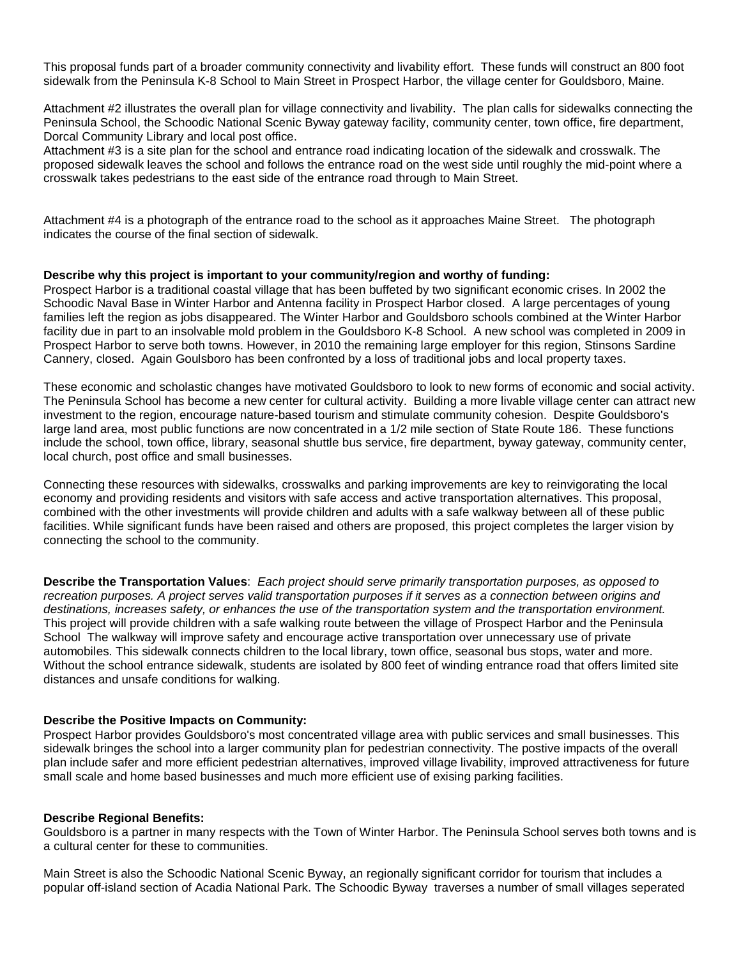This proposal funds part of a broader community connectivity and livability effort. These funds will construct an 800 foot sidewalk from the Peninsula K-8 School to Main Street in Prospect Harbor, the village center for Gouldsboro, Maine.

Attachment #2 illustrates the overall plan for village connectivity and livability. The plan calls for sidewalks connecting the Peninsula School, the Schoodic National Scenic Byway gateway facility, community center, town office, fire department, Dorcal Community Library and local post office.

Attachment #3 is a site plan for the school and entrance road indicating location of the sidewalk and crosswalk. The proposed sidewalk leaves the school and follows the entrance road on the west side until roughly the mid-point where a crosswalk takes pedestrians to the east side of the entrance road through to Main Street.

Attachment #4 is a photograph of the entrance road to the school as it approaches Maine Street. The photograph indicates the course of the final section of sidewalk.

#### **Describe why this project is important to your community/region and worthy of funding:**

Prospect Harbor is a traditional coastal village that has been buffeted by two significant economic crises. In 2002 the Schoodic Naval Base in Winter Harbor and Antenna facility in Prospect Harbor closed. A large percentages of young families left the region as jobs disappeared. The Winter Harbor and Gouldsboro schools combined at the Winter Harbor facility due in part to an insolvable mold problem in the Gouldsboro K-8 School. A new school was completed in 2009 in Prospect Harbor to serve both towns. However, in 2010 the remaining large employer for this region, Stinsons Sardine Cannery, closed. Again Goulsboro has been confronted by a loss of traditional jobs and local property taxes.

These economic and scholastic changes have motivated Gouldsboro to look to new forms of economic and social activity. The Peninsula School has become a new center for cultural activity. Building a more livable village center can attract new investment to the region, encourage nature-based tourism and stimulate community cohesion. Despite Gouldsboro's large land area, most public functions are now concentrated in a 1/2 mile section of State Route 186. These functions include the school, town office, library, seasonal shuttle bus service, fire department, byway gateway, community center, local church, post office and small businesses.

Connecting these resources with sidewalks, crosswalks and parking improvements are key to reinvigorating the local economy and providing residents and visitors with safe access and active transportation alternatives. This proposal, combined with the other investments will provide children and adults with a safe walkway between all of these public facilities. While significant funds have been raised and others are proposed, this project completes the larger vision by connecting the school to the community.

**Describe the Transportation Values**: *Each project should serve primarily transportation purposes, as opposed to recreation purposes. A project serves valid transportation purposes if it serves as a connection between origins and destinations, increases safety, or enhances the use of the transportation system and the transportation environment.* This project will provide children with a safe walking route between the village of Prospect Harbor and the Peninsula School The walkway will improve safety and encourage active transportation over unnecessary use of private automobiles. This sidewalk connects children to the local library, town office, seasonal bus stops, water and more. Without the school entrance sidewalk, students are isolated by 800 feet of winding entrance road that offers limited site distances and unsafe conditions for walking.

#### **Describe the Positive Impacts on Community:**

Prospect Harbor provides Gouldsboro's most concentrated village area with public services and small businesses. This sidewalk bringes the school into a larger community plan for pedestrian connectivity. The postive impacts of the overall plan include safer and more efficient pedestrian alternatives, improved village livability, improved attractiveness for future small scale and home based businesses and much more efficient use of exising parking facilities.

#### **Describe Regional Benefits:**

Gouldsboro is a partner in many respects with the Town of Winter Harbor. The Peninsula School serves both towns and is a cultural center for these to communities.

Main Street is also the Schoodic National Scenic Byway, an regionally significant corridor for tourism that includes a popular off-island section of Acadia National Park. The Schoodic Byway traverses a number of small villages seperated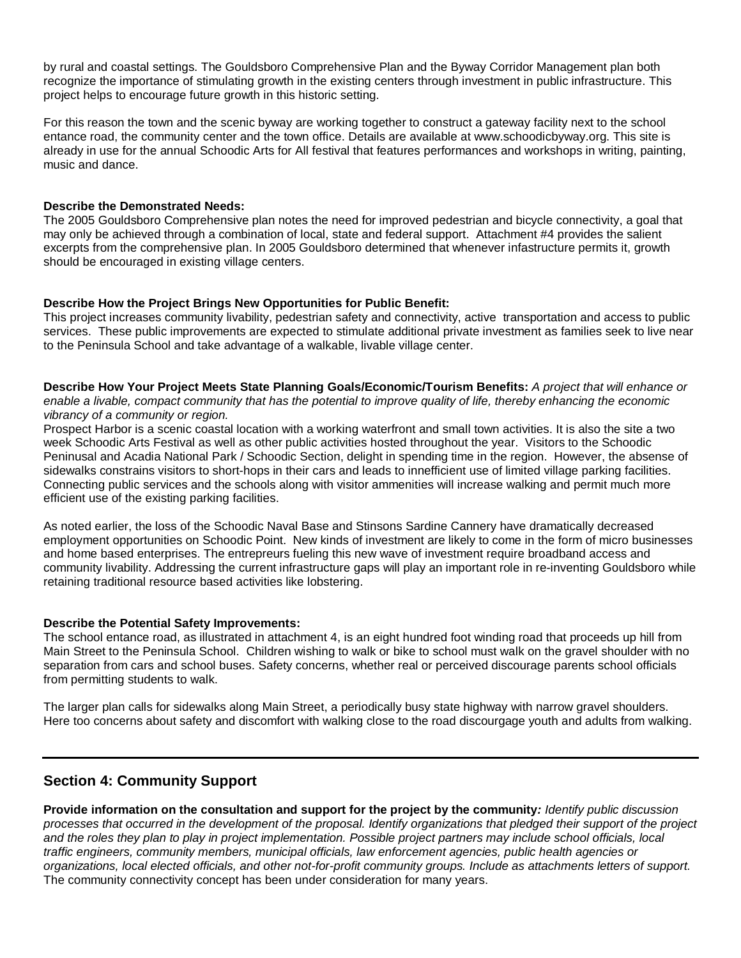by rural and coastal settings. The Gouldsboro Comprehensive Plan and the Byway Corridor Management plan both recognize the importance of stimulating growth in the existing centers through investment in public infrastructure. This project helps to encourage future growth in this historic setting.

For this reason the town and the scenic byway are working together to construct a gateway facility next to the school entance road, the community center and the town office. Details are available at www.schoodicbyway.org. This site is already in use for the annual Schoodic Arts for All festival that features performances and workshops in writing, painting, music and dance.

### **Describe the Demonstrated Needs:**

The 2005 Gouldsboro Comprehensive plan notes the need for improved pedestrian and bicycle connectivity, a goal that may only be achieved through a combination of local, state and federal support. Attachment #4 provides the salient excerpts from the comprehensive plan. In 2005 Gouldsboro determined that whenever infastructure permits it, growth should be encouraged in existing village centers.

### **Describe How the Project Brings New Opportunities for Public Benefit:**

This project increases community livability, pedestrian safety and connectivity, active transportation and access to public services. These public improvements are expected to stimulate additional private investment as families seek to live near to the Peninsula School and take advantage of a walkable, livable village center.

**Describe How Your Project Meets State Planning Goals/Economic/Tourism Benefits:** *A project that will enhance or enable a livable, compact community that has the potential to improve quality of life, thereby enhancing the economic vibrancy of a community or region.* 

Prospect Harbor is a scenic coastal location with a working waterfront and small town activities. It is also the site a two week Schoodic Arts Festival as well as other public activities hosted throughout the year. Visitors to the Schoodic Peninusal and Acadia National Park / Schoodic Section, delight in spending time in the region. However, the absense of sidewalks constrains visitors to short-hops in their cars and leads to innefficient use of limited village parking facilities. Connecting public services and the schools along with visitor ammenities will increase walking and permit much more efficient use of the existing parking facilities.

As noted earlier, the loss of the Schoodic Naval Base and Stinsons Sardine Cannery have dramatically decreased employment opportunities on Schoodic Point. New kinds of investment are likely to come in the form of micro businesses and home based enterprises. The entrepreurs fueling this new wave of investment require broadband access and community livability. Addressing the current infrastructure gaps will play an important role in re-inventing Gouldsboro while retaining traditional resource based activities like lobstering.

#### **Describe the Potential Safety Improvements:**

The school entance road, as illustrated in attachment 4, is an eight hundred foot winding road that proceeds up hill from Main Street to the Peninsula School. Children wishing to walk or bike to school must walk on the gravel shoulder with no separation from cars and school buses. Safety concerns, whether real or perceived discourage parents school officials from permitting students to walk.

The larger plan calls for sidewalks along Main Street, a periodically busy state highway with narrow gravel shoulders. Here too concerns about safety and discomfort with walking close to the road discourgage youth and adults from walking.

## **Section 4: Community Support**

**Provide information on the consultation and support for the project by the community***: Identify public discussion processes that occurred in the development of the proposal. Identify organizations that pledged their support of the project and the roles they plan to play in project implementation. Possible project partners may include school officials, local traffic engineers, community members, municipal officials, law enforcement agencies, public health agencies or organizations, local elected officials, and other not-for-profit community groups. Include as attachments letters of support.*  The community connectivity concept has been under consideration for many years.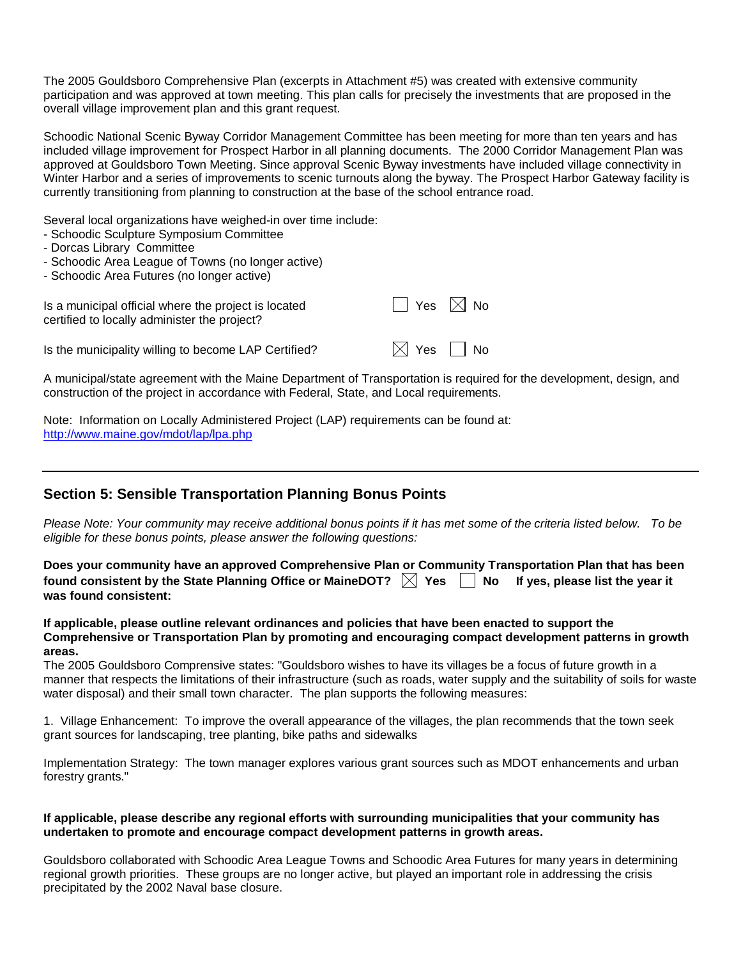The 2005 Gouldsboro Comprehensive Plan (excerpts in Attachment #5) was created with extensive community participation and was approved at town meeting. This plan calls for precisely the investments that are proposed in the overall village improvement plan and this grant request.

Schoodic National Scenic Byway Corridor Management Committee has been meeting for more than ten years and has included village improvement for Prospect Harbor in all planning documents. The 2000 Corridor Management Plan was approved at Gouldsboro Town Meeting. Since approval Scenic Byway investments have included village connectivity in Winter Harbor and a series of improvements to scenic turnouts along the byway. The Prospect Harbor Gateway facility is currently transitioning from planning to construction at the base of the school entrance road.

Several local organizations have weighed-in over time include:

- Schoodic Sculpture Symposium Committee
- Dorcas Library Committee
- Schoodic Area League of Towns (no longer active)
- Schoodic Area Futures (no longer active)

| Is a municipal official where the project is located<br>certified to locally administer the project? | $\Box$ Yes $\boxtimes$ No |  |
|------------------------------------------------------------------------------------------------------|---------------------------|--|
| Is the municipality willing to become LAP Certified?                                                 | $\boxtimes$ Yes $\Box$ No |  |

A municipal/state agreement with the Maine Department of Transportation is required for the development, design, and construction of the project in accordance with Federal, State, and Local requirements.

Note: Information on Locally Administered Project (LAP) requirements can be found at: <http://www.maine.gov/mdot/lap/lpa.php>

## **Section 5: Sensible Transportation Planning Bonus Points**

*Please Note: Your community may receive additional bonus points if it has met some of the criteria listed below. To be eligible for these bonus points, please answer the following questions:* 

**Does your community have an approved Comprehensive Plan or Community Transportation Plan that has been**  found consistent by the State Planning Office or MaineDOT?  $\boxtimes$  Yes  $\Box$  No If yes, please list the year it **was found consistent:** 

**If applicable, please outline relevant ordinances and policies that have been enacted to support the Comprehensive or Transportation Plan by promoting and encouraging compact development patterns in growth areas.** 

The 2005 Gouldsboro Comprensive states: "Gouldsboro wishes to have its villages be a focus of future growth in a manner that respects the limitations of their infrastructure (such as roads, water supply and the suitability of soils for waste water disposal) and their small town character. The plan supports the following measures:

1. Village Enhancement: To improve the overall appearance of the villages, the plan recommends that the town seek grant sources for landscaping, tree planting, bike paths and sidewalks

Implementation Strategy: The town manager explores various grant sources such as MDOT enhancements and urban forestry grants."

#### **If applicable, please describe any regional efforts with surrounding municipalities that your community has undertaken to promote and encourage compact development patterns in growth areas.**

Gouldsboro collaborated with Schoodic Area League Towns and Schoodic Area Futures for many years in determining regional growth priorities. These groups are no longer active, but played an important role in addressing the crisis precipitated by the 2002 Naval base closure.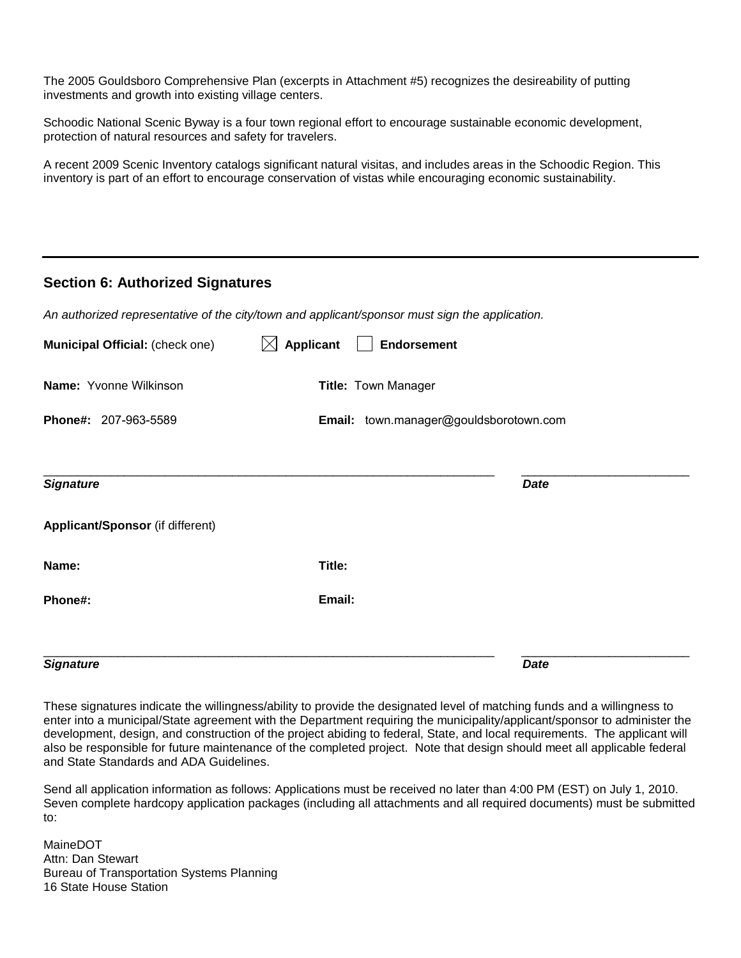The 2005 Gouldsboro Comprehensive Plan (excerpts in Attachment #5) recognizes the desireability of putting investments and growth into existing village centers.

Schoodic National Scenic Byway is a four town regional effort to encourage sustainable economic development, protection of natural resources and safety for travelers.

A recent 2009 Scenic Inventory catalogs significant natural visitas, and includes areas in the Schoodic Region. This inventory is part of an effort to encourage conservation of vistas while encouraging economic sustainability.

### **Section 6: Authorized Signatures**

| <b>Signature</b>                                                                               |                                 | <b>Date</b>                            |  |
|------------------------------------------------------------------------------------------------|---------------------------------|----------------------------------------|--|
|                                                                                                |                                 |                                        |  |
| Phone#:                                                                                        | Email:                          |                                        |  |
| Name:                                                                                          | Title:                          |                                        |  |
| Applicant/Sponsor (if different)                                                               |                                 |                                        |  |
| <b>Signature</b>                                                                               |                                 | <b>Date</b>                            |  |
| Phone#: 207-963-5589                                                                           |                                 | Email: town.manager@gouldsborotown.com |  |
| Name: Yvonne Wilkinson                                                                         |                                 | Title: Town Manager                    |  |
| Municipal Official: (check one)                                                                | <b>Applicant</b><br>$\boxtimes$ | <b>Endorsement</b>                     |  |
| An authorized representative of the city/town and applicant/sponsor must sign the application. |                                 |                                        |  |
|                                                                                                |                                 |                                        |  |

These signatures indicate the willingness/ability to provide the designated level of matching funds and a willingness to enter into a municipal/State agreement with the Department requiring the municipality/applicant/sponsor to administer the development, design, and construction of the project abiding to federal, State, and local requirements. The applicant will also be responsible for future maintenance of the completed project. Note that design should meet all applicable federal and State Standards and ADA Guidelines.

Send all application information as follows: Applications must be received no later than 4:00 PM (EST) on July 1, 2010. Seven complete hardcopy application packages (including all attachments and all required documents) must be submitted to:

MaineDOT Attn: Dan Stewart Bureau of Transportation Systems Planning 16 State House Station